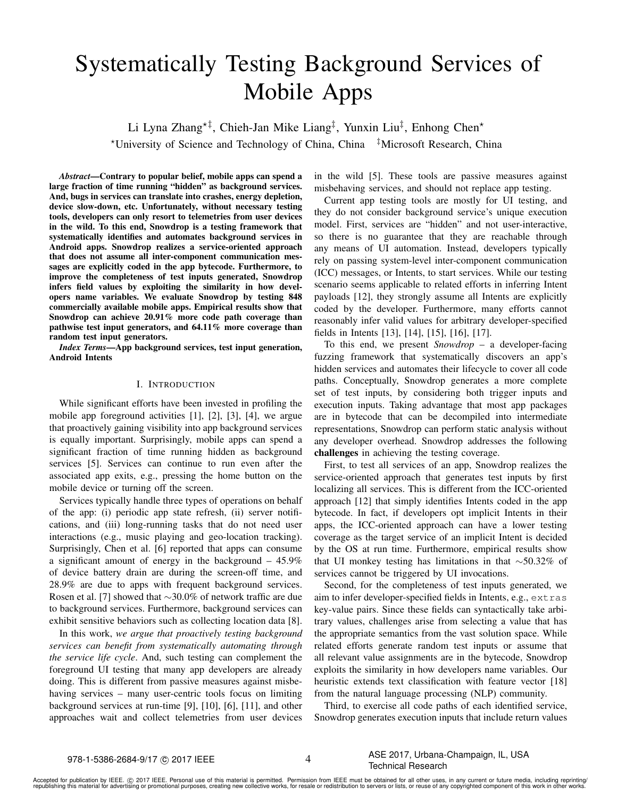# Systematically Testing Background Services of Mobile Apps

Li Lyna Zhang<sup>\*‡</sup>, Chieh-Jan Mike Liang<sup>‡</sup>, Yunxin Liu<sup>‡</sup>, Enhong Chen<sup>\*</sup> ?University of Science and Technology of China, China ‡Microsoft Research, China

*Abstract*—Contrary to popular belief, mobile apps can spend a large fraction of time running "hidden" as background services. And, bugs in services can translate into crashes, energy depletion, device slow-down, etc. Unfortunately, without necessary testing tools, developers can only resort to telemetries from user devices in the wild. To this end, Snowdrop is a testing framework that systematically identifies and automates background services in Android apps. Snowdrop realizes a service-oriented approach that does not assume all inter-component communication messages are explicitly coded in the app bytecode. Furthermore, to improve the completeness of test inputs generated, Snowdrop infers field values by exploiting the similarity in how developers name variables. We evaluate Snowdrop by testing 848 commercially available mobile apps. Empirical results show that Snowdrop can achieve 20.91% more code path coverage than pathwise test input generators, and 64.11% more coverage than random test input generators.

*Index Terms*—App background services, test input generation, Android Intents

## I. INTRODUCTION

While significant efforts have been invested in profiling the mobile app foreground activities [\[1\]](#page-10-0), [\[2\]](#page-10-1), [\[3\]](#page-10-2), [\[4\]](#page-10-3), we argue that proactively gaining visibility into app background services is equally important. Surprisingly, mobile apps can spend a significant fraction of time running hidden as background services [\[5\]](#page-10-4). Services can continue to run even after the associated app exits, e.g., pressing the home button on the mobile device or turning off the screen.

Services typically handle three types of operations on behalf of the app: (i) periodic app state refresh, (ii) server notifications, and (iii) long-running tasks that do not need user interactions (e.g., music playing and geo-location tracking). Surprisingly, Chen et al. [\[6\]](#page-10-5) reported that apps can consume a significant amount of energy in the background – 45.9% of device battery drain are during the screen-off time, and 28.9% are due to apps with frequent background services. Rosen et al. [\[7\]](#page-10-6) showed that ∼30.0% of network traffic are due to background services. Furthermore, background services can exhibit sensitive behaviors such as collecting location data [\[8\]](#page-10-7).

In this work, *we argue that proactively testing background services can benefit from systematically automating through the service life cycle*. And, such testing can complement the foreground UI testing that many app developers are already doing. This is different from passive measures against misbehaving services – many user-centric tools focus on limiting background services at run-time [\[9\]](#page-10-8), [\[10\]](#page-10-9), [\[6\]](#page-10-5), [\[11\]](#page-10-10), and other approaches wait and collect telemetries from user devices

in the wild [\[5\]](#page-10-4). These tools are passive measures against misbehaving services, and should not replace app testing.

Current app testing tools are mostly for UI testing, and they do not consider background service's unique execution model. First, services are "hidden" and not user-interactive, so there is no guarantee that they are reachable through any means of UI automation. Instead, developers typically rely on passing system-level inter-component communication (ICC) messages, or Intents, to start services. While our testing scenario seems applicable to related efforts in inferring Intent payloads [\[12\]](#page-10-11), they strongly assume all Intents are explicitly coded by the developer. Furthermore, many efforts cannot reasonably infer valid values for arbitrary developer-specified fields in Intents [\[13\]](#page-10-12), [\[14\]](#page-10-13), [\[15\]](#page-10-14), [\[16\]](#page-10-15), [\[17\]](#page-10-16).

To this end, we present *Snowdrop* – a developer-facing fuzzing framework that systematically discovers an app's hidden services and automates their lifecycle to cover all code paths. Conceptually, Snowdrop generates a more complete set of test inputs, by considering both trigger inputs and execution inputs. Taking advantage that most app packages are in bytecode that can be decompiled into intermediate representations, Snowdrop can perform static analysis without any developer overhead. Snowdrop addresses the following challenges in achieving the testing coverage.

First, to test all services of an app, Snowdrop realizes the service-oriented approach that generates test inputs by first localizing all services. This is different from the ICC-oriented approach [\[12\]](#page-10-11) that simply identifies Intents coded in the app bytecode. In fact, if developers opt implicit Intents in their apps, the ICC-oriented approach can have a lower testing coverage as the target service of an implicit Intent is decided by the OS at run time. Furthermore, empirical results show that UI monkey testing has limitations in that ∼50.32% of services cannot be triggered by UI invocations.

Second, for the completeness of test inputs generated, we aim to infer developer-specified fields in Intents, e.g., extras key-value pairs. Since these fields can syntactically take arbitrary values, challenges arise from selecting a value that has the appropriate semantics from the vast solution space. While related efforts generate random test inputs or assume that all relevant value assignments are in the bytecode, Snowdrop exploits the similarity in how developers name variables. Our heuristic extends text classification with feature vector [\[18\]](#page-10-17) from the natural language processing (NLP) community.

Third, to exercise all code paths of each identified service, Snowdrop generates execution inputs that include return values

4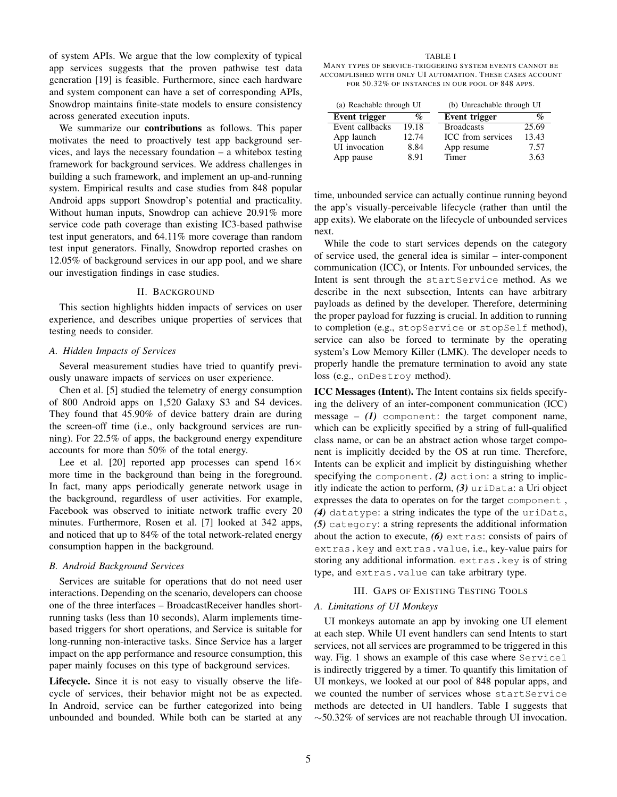of system APIs. We argue that the low complexity of typical app services suggests that the proven pathwise test data generation [\[19\]](#page-10-18) is feasible. Furthermore, since each hardware and system component can have a set of corresponding APIs, Snowdrop maintains finite-state models to ensure consistency across generated execution inputs.

We summarize our **contributions** as follows. This paper motivates the need to proactively test app background services, and lays the necessary foundation – a whitebox testing framework for background services. We address challenges in building a such framework, and implement an up-and-running system. Empirical results and case studies from 848 popular Android apps support Snowdrop's potential and practicality. Without human inputs, Snowdrop can achieve 20.91% more service code path coverage than existing IC3-based pathwise test input generators, and 64.11% more coverage than random test input generators. Finally, Snowdrop reported crashes on 12.05% of background services in our app pool, and we share our investigation findings in case studies.

## II. BACKGROUND

This section highlights hidden impacts of services on user experience, and describes unique properties of services that testing needs to consider.

# *A. Hidden Impacts of Services*

Several measurement studies have tried to quantify previously unaware impacts of services on user experience.

Chen et al. [\[5\]](#page-10-4) studied the telemetry of energy consumption of 800 Android apps on 1,520 Galaxy S3 and S4 devices. They found that 45.90% of device battery drain are during the screen-off time (i.e., only background services are running). For 22.5% of apps, the background energy expenditure accounts for more than 50% of the total energy.

Lee et al. [\[20\]](#page-10-19) reported app processes can spend  $16\times$ more time in the background than being in the foreground. In fact, many apps periodically generate network usage in the background, regardless of user activities. For example, Facebook was observed to initiate network traffic every 20 minutes. Furthermore, Rosen et al. [\[7\]](#page-10-6) looked at 342 apps, and noticed that up to 84% of the total network-related energy consumption happen in the background.

# *B. Android Background Services*

Services are suitable for operations that do not need user interactions. Depending on the scenario, developers can choose one of the three interfaces – BroadcastReceiver handles shortrunning tasks (less than 10 seconds), Alarm implements timebased triggers for short operations, and Service is suitable for long-running non-interactive tasks. Since Service has a larger impact on the app performance and resource consumption, this paper mainly focuses on this type of background services.

Lifecycle. Since it is not easy to visually observe the lifecycle of services, their behavior might not be as expected. In Android, service can be further categorized into being unbounded and bounded. While both can be started at any

#### TABLE I

<span id="page-1-0"></span>MANY TYPES OF SERVICE-TRIGGERING SYSTEM EVENTS CANNOT BE ACCOMPLISHED WITH ONLY UI AUTOMATION. THESE CASES ACCOUNT FOR 50.32% OF INSTANCES IN OUR POOL OF 848 APPS.

| (a) Reachable through UI |                 | (b) Unreachable through UI |       |
|--------------------------|-----------------|----------------------------|-------|
| Event trigger            | $\mathcal{G}_0$ | Event trigger              |       |
| Event callbacks          | 19.18           | <b>Broadcasts</b>          | 25.69 |
| App launch               | 12.74           | ICC from services          | 13.43 |
| <b>UI</b> invocation     | 8.84            | App resume                 | 7.57  |
| App pause                | 8.91            | Timer                      | 3.63  |

time, unbounded service can actually continue running beyond the app's visually-perceivable lifecycle (rather than until the app exits). We elaborate on the lifecycle of unbounded services next.

While the code to start services depends on the category of service used, the general idea is similar – inter-component communication (ICC), or Intents. For unbounded services, the Intent is sent through the startService method. As we describe in the next subsection, Intents can have arbitrary payloads as defined by the developer. Therefore, determining the proper payload for fuzzing is crucial. In addition to running to completion (e.g., stopService or stopSelf method), service can also be forced to terminate by the operating system's Low Memory Killer (LMK). The developer needs to properly handle the premature termination to avoid any state loss (e.g., onDestroy method).

ICC Messages (Intent). The Intent contains six fields specifying the delivery of an inter-component communication (ICC) message  $-$  (1) component: the target component name, which can be explicitly specified by a string of full-qualified class name, or can be an abstract action whose target component is implicitly decided by the OS at run time. Therefore, Intents can be explicit and implicit by distinguishing whether specifying the component. *(2)* action: a string to implicitly indicate the action to perform, *(3)* uriData: a Uri object expresses the data to operates on for the target component , *(4)* datatype: a string indicates the type of the uriData, *(5)* category: a string represents the additional information about the action to execute, *(6)* extras: consists of pairs of extras.key and extras.value, i.e., key-value pairs for storing any additional information. extras.key is of string type, and extras.value can take arbitrary type.

# III. GAPS OF EXISTING TESTING TOOLS

## *A. Limitations of UI Monkeys*

UI monkeys automate an app by invoking one UI element at each step. While UI event handlers can send Intents to start services, not all services are programmed to be triggered in this way. Fig. [1](#page-2-0) shows an example of this case where Service1 is indirectly triggered by a timer. To quantify this limitation of UI monkeys, we looked at our pool of 848 popular apps, and we counted the number of services whose startService methods are detected in UI handlers. Table [I](#page-1-0) suggests that ∼50.32% of services are not reachable through UI invocation.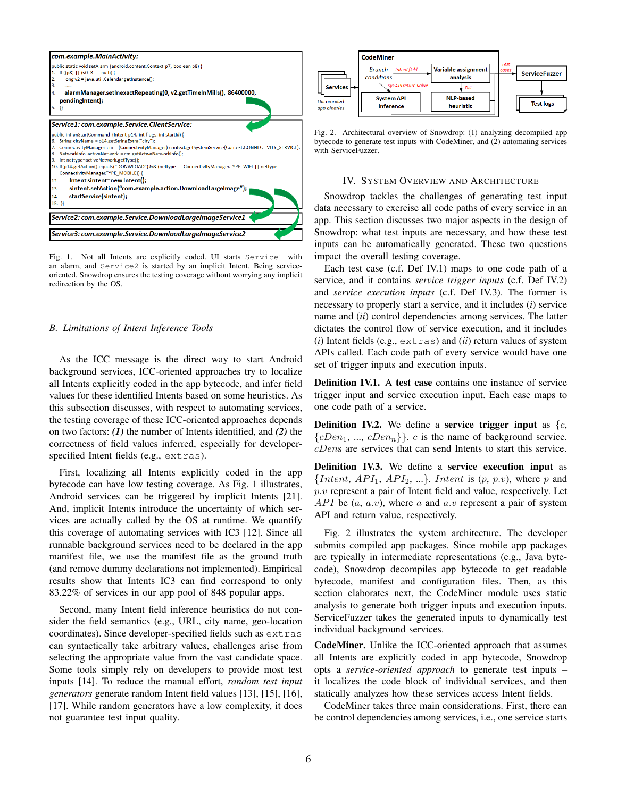

<span id="page-2-0"></span>Fig. 1. Not all Intents are explicitly coded. UI starts Service1 with an alarm, and Service2 is started by an implicit Intent. Being serviceoriented, Snowdrop ensures the testing coverage without worrying any implicit redirection by the OS.

# <span id="page-2-5"></span>*B. Limitations of Intent Inference Tools*

As the ICC message is the direct way to start Android background services, ICC-oriented approaches try to localize all Intents explicitly coded in the app bytecode, and infer field values for these identified Intents based on some heuristics. As this subsection discusses, with respect to automating services, the testing coverage of these ICC-oriented approaches depends on two factors: *(1)* the number of Intents identified, and *(2)* the correctness of field values inferred, especially for developerspecified Intent fields (e.g., extras).

First, localizing all Intents explicitly coded in the app bytecode can have low testing coverage. As Fig. [1](#page-2-0) illustrates, Android services can be triggered by implicit Intents [\[21\]](#page-10-20). And, implicit Intents introduce the uncertainty of which services are actually called by the OS at runtime. We quantify this coverage of automating services with IC3 [\[12\]](#page-10-11). Since all runnable background services need to be declared in the app manifest file, we use the manifest file as the ground truth (and remove dummy declarations not implemented). Empirical results show that Intents IC3 can find correspond to only 83.22% of services in our app pool of 848 popular apps.

Second, many Intent field inference heuristics do not consider the field semantics (e.g., URL, city name, geo-location coordinates). Since developer-specified fields such as extras can syntactically take arbitrary values, challenges arise from selecting the appropriate value from the vast candidate space. Some tools simply rely on developers to provide most test inputs [\[14\]](#page-10-13). To reduce the manual effort, *random test input generators* generate random Intent field values [\[13\]](#page-10-12), [\[15\]](#page-10-14), [\[16\]](#page-10-15), [\[17\]](#page-10-16). While random generators have a low complexity, it does not guarantee test input quality.



<span id="page-2-4"></span>Fig. 2. Architectural overview of Snowdrop: (1) analyzing decompiled app bytecode to generate test inputs with CodeMiner, and (2) automating services with ServiceFuzzer.

## IV. SYSTEM OVERVIEW AND ARCHITECTURE

Snowdrop tackles the challenges of generating test input data necessary to exercise all code paths of every service in an app. This section discusses two major aspects in the design of Snowdrop: what test inputs are necessary, and how these test inputs can be automatically generated. These two questions impact the overall testing coverage.

Each test case (c.f. Def [IV.1\)](#page-2-1) maps to one code path of a service, and it contains *service trigger inputs* (c.f. Def [IV.2\)](#page-2-2) and *service execution inputs* (c.f. Def [IV.3\)](#page-2-3). The former is necessary to properly start a service, and it includes (*i*) service name and (*ii*) control dependencies among services. The latter dictates the control flow of service execution, and it includes (*i*) Intent fields (e.g., extras) and (*ii*) return values of system APIs called. Each code path of every service would have one set of trigger inputs and execution inputs.

<span id="page-2-1"></span>Definition IV.1. A test case contains one instance of service trigger input and service execution input. Each case maps to one code path of a service.

<span id="page-2-2"></span>**Definition IV.2.** We define a service trigger input as  $\{c, c\}$  ${cDen_1, ..., cDen_n}$ .  $c$  is the name of background service. cDens are services that can send Intents to start this service.

<span id="page-2-3"></span>Definition IV.3. We define a service execution input as {Intent,  $API_1$ ,  $API_2$ , ...}. Intent is  $(p, p.v)$ , where p and  $p.v$  represent a pair of Intent field and value, respectively. Let API be  $(a, a.v)$ , where a and a.v represent a pair of system API and return value, respectively.

Fig. [2](#page-2-4) illustrates the system architecture. The developer submits compiled app packages. Since mobile app packages are typically in intermediate representations (e.g., Java bytecode), Snowdrop decompiles app bytecode to get readable bytecode, manifest and configuration files. Then, as this section elaborates next, the CodeMiner module uses static analysis to generate both trigger inputs and execution inputs. ServiceFuzzer takes the generated inputs to dynamically test individual background services.

CodeMiner. Unlike the ICC-oriented approach that assumes all Intents are explicitly coded in app bytecode, Snowdrop opts a *service-oriented approach* to generate test inputs – it localizes the code block of individual services, and then statically analyzes how these services access Intent fields.

CodeMiner takes three main considerations. First, there can be control dependencies among services, i.e., one service starts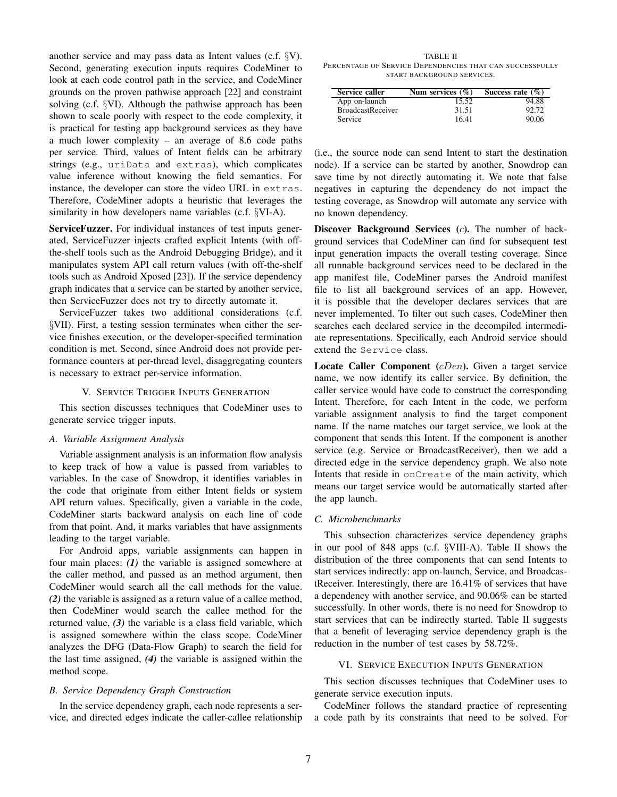another service and may pass data as Intent values (c.f. §[V\)](#page-3-0). Second, generating execution inputs requires CodeMiner to look at each code control path in the service, and CodeMiner grounds on the proven pathwise approach [\[22\]](#page-10-21) and constraint solving (c.f. §[VI\)](#page-3-1). Although the pathwise approach has been shown to scale poorly with respect to the code complexity, it is practical for testing app background services as they have a much lower complexity – an average of 8.6 code paths per service. Third, values of Intent fields can be arbitrary strings (e.g., uriData and extras), which complicates value inference without knowing the field semantics. For instance, the developer can store the video URL in extras. Therefore, CodeMiner adopts a heuristic that leverages the similarity in how developers name variables (c.f. §[VI-A\)](#page-4-0).

ServiceFuzzer. For individual instances of test inputs generated, ServiceFuzzer injects crafted explicit Intents (with offthe-shelf tools such as the Android Debugging Bridge), and it manipulates system API call return values (with off-the-shelf tools such as Android Xposed [\[23\]](#page-10-22)). If the service dependency graph indicates that a service can be started by another service, then ServiceFuzzer does not try to directly automate it.

ServiceFuzzer takes two additional considerations (c.f. §[VII\)](#page-5-0). First, a testing session terminates when either the service finishes execution, or the developer-specified termination condition is met. Second, since Android does not provide performance counters at per-thread level, disaggregating counters is necessary to extract per-service information.

# V. SERVICE TRIGGER INPUTS GENERATION

<span id="page-3-0"></span>This section discusses techniques that CodeMiner uses to generate service trigger inputs.

#### <span id="page-3-3"></span>*A. Variable Assignment Analysis*

Variable assignment analysis is an information flow analysis to keep track of how a value is passed from variables to variables. In the case of Snowdrop, it identifies variables in the code that originate from either Intent fields or system API return values. Specifically, given a variable in the code, CodeMiner starts backward analysis on each line of code from that point. And, it marks variables that have assignments leading to the target variable.

For Android apps, variable assignments can happen in four main places: *(1)* the variable is assigned somewhere at the caller method, and passed as an method argument, then CodeMiner would search all the call methods for the value. *(2)* the variable is assigned as a return value of a callee method, then CodeMiner would search the callee method for the returned value, *(3)* the variable is a class field variable, which is assigned somewhere within the class scope. CodeMiner analyzes the DFG (Data-Flow Graph) to search the field for the last time assigned, *(4)* the variable is assigned within the method scope.

# *B. Service Dependency Graph Construction*

In the service dependency graph, each node represents a service, and directed edges indicate the caller-callee relationship

<span id="page-3-2"></span>TABLE II PERCENTAGE OF SERVICE DEPENDENCIES THAT CAN SUCCESSFULLY START BACKGROUND SERVICES.

| Service caller           | Num services $(\% )$ | Success rate $(\% )$ |
|--------------------------|----------------------|----------------------|
| App on-launch            | 15.52                | 94.88                |
| <b>BroadcastReceiver</b> | 31.51                | 92.72                |
| <b>Service</b>           | 16.41                | 90.06                |

(i.e., the source node can send Intent to start the destination node). If a service can be started by another, Snowdrop can save time by not directly automating it. We note that false negatives in capturing the dependency do not impact the testing coverage, as Snowdrop will automate any service with no known dependency.

Discover Background Services (c). The number of background services that CodeMiner can find for subsequent test input generation impacts the overall testing coverage. Since all runnable background services need to be declared in the app manifest file, CodeMiner parses the Android manifest file to list all background services of an app. However, it is possible that the developer declares services that are never implemented. To filter out such cases, CodeMiner then searches each declared service in the decompiled intermediate representations. Specifically, each Android service should extend the Service class.

Locate Caller Component (cDen). Given a target service name, we now identify its caller service. By definition, the caller service would have code to construct the corresponding Intent. Therefore, for each Intent in the code, we perform variable assignment analysis to find the target component name. If the name matches our target service, we look at the component that sends this Intent. If the component is another service (e.g. Service or BroadcastReceiver), then we add a directed edge in the service dependency graph. We also note Intents that reside in onCreate of the main activity, which means our target service would be automatically started after the app launch.

# *C. Microbenchmarks*

This subsection characterizes service dependency graphs in our pool of 848 apps (c.f. §[VIII-A\)](#page-6-0). Table [II](#page-3-2) shows the distribution of the three components that can send Intents to start services indirectly: app on-launch, Service, and BroadcastReceiver. Interestingly, there are 16.41% of services that have a dependency with another service, and 90.06% can be started successfully. In other words, there is no need for Snowdrop to start services that can be indirectly started. Table [II](#page-3-2) suggests that a benefit of leveraging service dependency graph is the reduction in the number of test cases by 58.72%.

# VI. SERVICE EXECUTION INPUTS GENERATION

<span id="page-3-1"></span>This section discusses techniques that CodeMiner uses to generate service execution inputs.

CodeMiner follows the standard practice of representing a code path by its constraints that need to be solved. For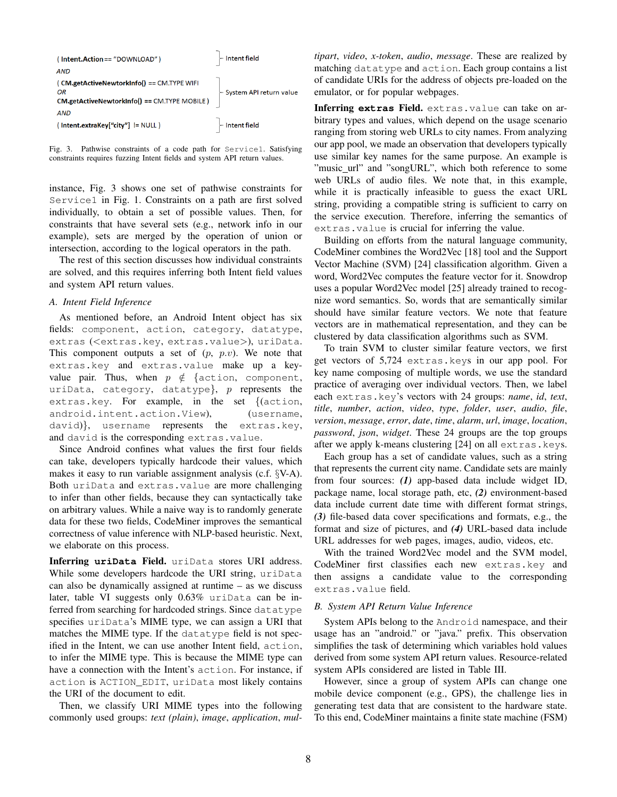| (Intent.Action=="DOWNLOAD")                                                                        | $\vdash$ Intent field                 |
|----------------------------------------------------------------------------------------------------|---------------------------------------|
| <b>AND</b>                                                                                         |                                       |
| ( CM.getActiveNewtorkInfo() == CM.TYPE WIFI<br>ΩR<br>CM.getActiveNewtorkInfo() == CM.TYPE MOBILE ) | System API return value               |
| <b>AND</b><br>(Intent.extraKey["city"] != NULL )                                                   | $\overline{\phantom{a}}$ Intent field |

<span id="page-4-1"></span>Fig. 3. Pathwise constraints of a code path for Service1. Satisfying constraints requires fuzzing Intent fields and system API return values.

instance, Fig. [3](#page-4-1) shows one set of pathwise constraints for Service1 in Fig. [1.](#page-2-0) Constraints on a path are first solved individually, to obtain a set of possible values. Then, for constraints that have several sets (e.g., network info in our example), sets are merged by the operation of union or intersection, according to the logical operators in the path.

The rest of this section discusses how individual constraints are solved, and this requires inferring both Intent field values and system API return values.

# <span id="page-4-0"></span>*A. Intent Field Inference*

As mentioned before, an Android Intent object has six fields: component, action, category, datatype, extras (<extras.key, extras.value>), uriData. This component outputs a set of  $(p, p.v)$ . We note that extras.key and extras.value make up a keyvalue pair. Thus, when  $p \notin \{$ action, component, uriData, category, datatype},  $p$  represents the extras.key. For example, in the set {(action, android.intent.action.View), (username, david)}, username represents the extras.key, and david is the corresponding extras.value.

Since Android confines what values the first four fields can take, developers typically hardcode their values, which makes it easy to run variable assignment analysis (c.f. §[V-A\)](#page-3-3). Both uriData and extras.value are more challenging to infer than other fields, because they can syntactically take on arbitrary values. While a naive way is to randomly generate data for these two fields, CodeMiner improves the semantical correctness of value inference with NLP-based heuristic. Next, we elaborate on this process.

Inferring **uriData** Field. uriData stores URI address. While some developers hardcode the URI string, uriData can also be dynamically assigned at runtime – as we discuss later, table [VI](#page-8-0) suggests only 0.63% uriData can be inferred from searching for hardcoded strings. Since datatype specifies uriData's MIME type, we can assign a URI that matches the MIME type. If the datatype field is not specified in the Intent, we can use another Intent field, action, to infer the MIME type. This is because the MIME type can have a connection with the Intent's action. For instance, if action is ACTION\_EDIT, uriData most likely contains the URI of the document to edit.

Then, we classify URI MIME types into the following commonly used groups: *text (plain)*, *image*, *application*, *mul-* *tipart*, *video*, *x-token*, *audio*, *message*. These are realized by matching datatype and action. Each group contains a list of candidate URIs for the address of objects pre-loaded on the emulator, or for popular webpages.

Inferring **extras** Field. extras.value can take on arbitrary types and values, which depend on the usage scenario ranging from storing web URLs to city names. From analyzing our app pool, we made an observation that developers typically use similar key names for the same purpose. An example is "music\_url" and "songURL", which both reference to some web URLs of audio files. We note that, in this example, while it is practically infeasible to guess the exact URL string, providing a compatible string is sufficient to carry on the service execution. Therefore, inferring the semantics of extras.value is crucial for inferring the value.

Building on efforts from the natural language community, CodeMiner combines the Word2Vec [\[18\]](#page-10-17) tool and the Support Vector Machine (SVM) [\[24\]](#page-10-23) classification algorithm. Given a word, Word2Vec computes the feature vector for it. Snowdrop uses a popular Word2Vec model [\[25\]](#page-10-24) already trained to recognize word semantics. So, words that are semantically similar should have similar feature vectors. We note that feature vectors are in mathematical representation, and they can be clustered by data classification algorithms such as SVM.

To train SVM to cluster similar feature vectors, we first get vectors of 5,724 extras.keys in our app pool. For key name composing of multiple words, we use the standard practice of averaging over individual vectors. Then, we label each extras.key's vectors with 24 groups: *name*, *id*, *text*, *title*, *number*, *action*, *video*, *type*, *folder*, *user*, *audio*, *file*, *version*, *message*, *error*, *date*, *time*, *alarm*, *url*, *image*, *location*, *password*, *json*, *widget*. These 24 groups are the top groups after we apply k-means clustering [\[24\]](#page-10-23) on all extras.keys.

Each group has a set of candidate values, such as a string that represents the current city name. Candidate sets are mainly from four sources: *(1)* app-based data include widget ID, package name, local storage path, etc, *(2)* environment-based data include current date time with different format strings, *(3)* file-based data cover specifications and formats, e.g., the format and size of pictures, and *(4)* URL-based data include URL addresses for web pages, images, audio, videos, etc.

With the trained Word2Vec model and the SVM model, CodeMiner first classifies each new extras.key and then assigns a candidate value to the corresponding extras.value field.

# *B. System API Return Value Inference*

System APIs belong to the Android namespace, and their usage has an "android." or "java." prefix. This observation simplifies the task of determining which variables hold values derived from some system API return values. Resource-related system APIs considered are listed in Table [III.](#page-5-1)

However, since a group of system APIs can change one mobile device component (e.g., GPS), the challenge lies in generating test data that are consistent to the hardware state. To this end, CodeMiner maintains a finite state machine (FSM)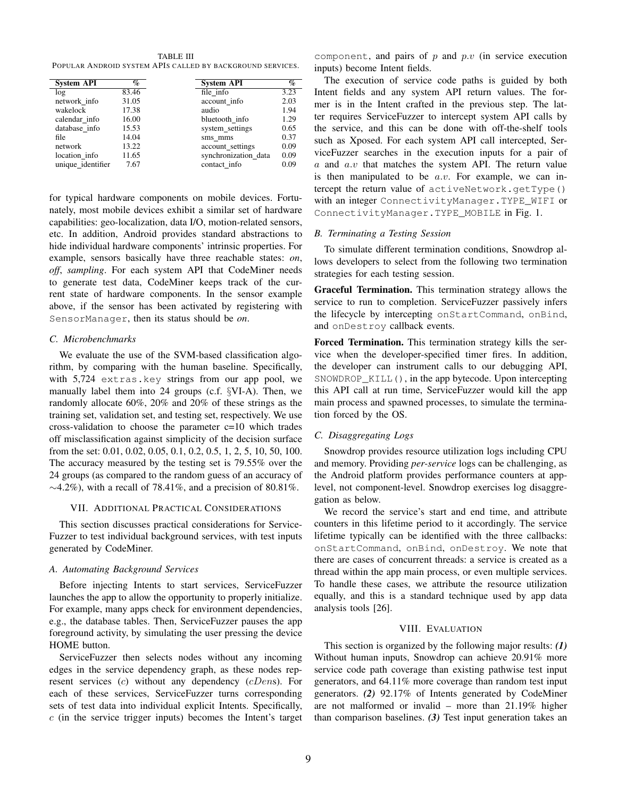<span id="page-5-1"></span>TABLE III POPULAR ANDROID SYSTEM APIS CALLED BY BACKGROUND SERVICES.

|                   | $\mathcal{O}_0$ |                      |      |
|-------------------|-----------------|----------------------|------|
| <b>System API</b> |                 | <b>System API</b>    | $\%$ |
| log               | 83.46           | file info            | 3.23 |
| network info      | 31.05           | account info         | 2.03 |
| wakelock          | 17.38           | audio                | 1.94 |
| calendar info     | 16.00           | bluetooth info       | 1.29 |
| database info     | 15.53           | system_settings      | 0.65 |
| file              | 14.04           | sms mms              | 0.37 |
| network           | 13.22           | account settings     | 0.09 |
| location info     | 11.65           | synchronization data | 0.09 |
| unique_identifier | 7.67            | contact info         | 0.09 |

for typical hardware components on mobile devices. Fortunately, most mobile devices exhibit a similar set of hardware capabilities: geo-localization, data I/O, motion-related sensors, etc. In addition, Android provides standard abstractions to hide individual hardware components' intrinsic properties. For example, sensors basically have three reachable states: *on*, *off*, *sampling*. For each system API that CodeMiner needs to generate test data, CodeMiner keeps track of the current state of hardware components. In the sensor example above, if the sensor has been activated by registering with SensorManager, then its status should be *on*.

# *C. Microbenchmarks*

We evaluate the use of the SVM-based classification algorithm, by comparing with the human baseline. Specifically, with 5,724 extras.key strings from our app pool, we manually label them into 24 groups (c.f. §[VI-A\)](#page-4-0). Then, we randomly allocate 60%, 20% and 20% of these strings as the training set, validation set, and testing set, respectively. We use cross-validation to choose the parameter  $c=10$  which trades off misclassification against simplicity of the decision surface from the set: 0.01, 0.02, 0.05, 0.1, 0.2, 0.5, 1, 2, 5, 10, 50, 100. The accuracy measured by the testing set is 79.55% over the 24 groups (as compared to the random guess of an accuracy of  $\sim$ 4.2%), with a recall of 78.41%, and a precision of 80.81%.

## VII. ADDITIONAL PRACTICAL CONSIDERATIONS

<span id="page-5-0"></span>This section discusses practical considerations for Service-Fuzzer to test individual background services, with test inputs generated by CodeMiner.

# *A. Automating Background Services*

Before injecting Intents to start services, ServiceFuzzer launches the app to allow the opportunity to properly initialize. For example, many apps check for environment dependencies, e.g., the database tables. Then, ServiceFuzzer pauses the app foreground activity, by simulating the user pressing the device HOME button.

ServiceFuzzer then selects nodes without any incoming edges in the service dependency graph, as these nodes represent services  $(c)$  without any dependency  $(cDens)$ . For each of these services, ServiceFuzzer turns corresponding sets of test data into individual explicit Intents. Specifically,  $c$  (in the service trigger inputs) becomes the Intent's target

component, and pairs of  $p$  and  $p.v$  (in service execution inputs) become Intent fields.

The execution of service code paths is guided by both Intent fields and any system API return values. The former is in the Intent crafted in the previous step. The latter requires ServiceFuzzer to intercept system API calls by the service, and this can be done with off-the-shelf tools such as Xposed. For each system API call intercepted, ServiceFuzzer searches in the execution inputs for a pair of  $a$  and  $a.v$  that matches the system API. The return value is then manipulated to be  $a.v.$  For example, we can intercept the return value of activeNetwork.getType() with an integer ConnectivityManager.TYPE\_WIFI or ConnectivityManager.TYPE\_MOBILE in Fig. [1.](#page-2-0)

# *B. Terminating a Testing Session*

To simulate different termination conditions, Snowdrop allows developers to select from the following two termination strategies for each testing session.

Graceful Termination. This termination strategy allows the service to run to completion. ServiceFuzzer passively infers the lifecycle by intercepting onStartCommand, onBind, and onDestroy callback events.

Forced Termination. This termination strategy kills the service when the developer-specified timer fires. In addition, the developer can instrument calls to our debugging API, SNOWDROP\_KILL(), in the app bytecode. Upon intercepting this API call at run time, ServiceFuzzer would kill the app main process and spawned processes, to simulate the termination forced by the OS.

# *C. Disaggregating Logs*

Snowdrop provides resource utilization logs including CPU and memory. Providing *per-service* logs can be challenging, as the Android platform provides performance counters at applevel, not component-level. Snowdrop exercises log disaggregation as below.

We record the service's start and end time, and attribute counters in this lifetime period to it accordingly. The service lifetime typically can be identified with the three callbacks: onStartCommand, onBind, onDestroy. We note that there are cases of concurrent threads: a service is created as a thread within the app main process, or even multiple services. To handle these cases, we attribute the resource utilization equally, and this is a standard technique used by app data analysis tools [\[26\]](#page-10-25).

# VIII. EVALUATION

This section is organized by the following major results: *(1)* Without human inputs, Snowdrop can achieve 20.91% more service code path coverage than existing pathwise test input generators, and 64.11% more coverage than random test input generators. *(2)* 92.17% of Intents generated by CodeMiner are not malformed or invalid – more than 21.19% higher than comparison baselines. *(3)* Test input generation takes an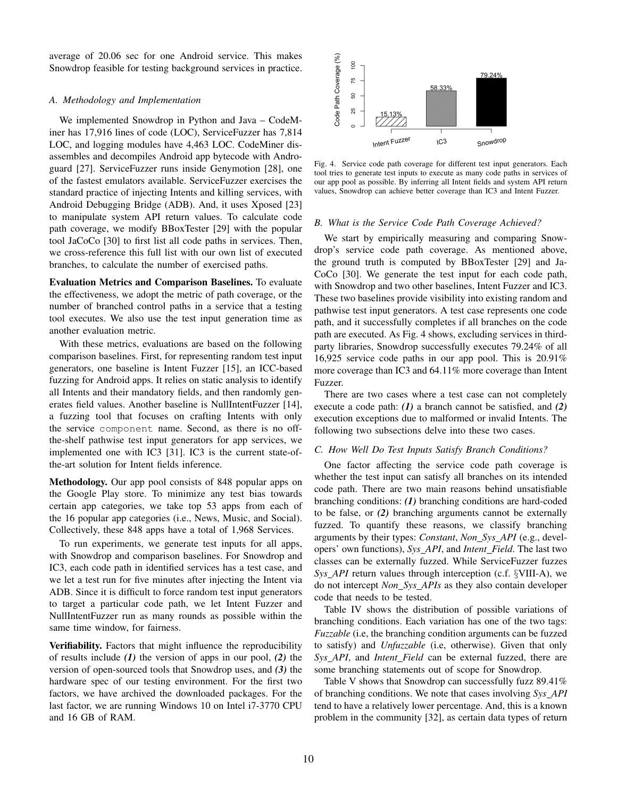average of 20.06 sec for one Android service. This makes Snowdrop feasible for testing background services in practice.

## <span id="page-6-0"></span>*A. Methodology and Implementation*

We implemented Snowdrop in Python and Java – CodeMiner has 17,916 lines of code (LOC), ServiceFuzzer has 7,814 LOC, and logging modules have 4,463 LOC. CodeMiner disassembles and decompiles Android app bytecode with Androguard [\[27\]](#page-10-26). ServiceFuzzer runs inside Genymotion [\[28\]](#page-10-27), one of the fastest emulators available. ServiceFuzzer exercises the standard practice of injecting Intents and killing services, with Android Debugging Bridge (ADB). And, it uses Xposed [\[23\]](#page-10-22) to manipulate system API return values. To calculate code path coverage, we modify BBoxTester [\[29\]](#page-10-28) with the popular tool JaCoCo [\[30\]](#page-10-29) to first list all code paths in services. Then, we cross-reference this full list with our own list of executed branches, to calculate the number of exercised paths.

Evaluation Metrics and Comparison Baselines. To evaluate the effectiveness, we adopt the metric of path coverage, or the number of branched control paths in a service that a testing tool executes. We also use the test input generation time as another evaluation metric.

With these metrics, evaluations are based on the following comparison baselines. First, for representing random test input generators, one baseline is Intent Fuzzer [\[15\]](#page-10-14), an ICC-based fuzzing for Android apps. It relies on static analysis to identify all Intents and their mandatory fields, and then randomly generates field values. Another baseline is NullIntentFuzzer [\[14\]](#page-10-13), a fuzzing tool that focuses on crafting Intents with only the service component name. Second, as there is no offthe-shelf pathwise test input generators for app services, we implemented one with IC3 [\[31\]](#page-10-30). IC3 is the current state-ofthe-art solution for Intent fields inference.

Methodology. Our app pool consists of 848 popular apps on the Google Play store. To minimize any test bias towards certain app categories, we take top 53 apps from each of the 16 popular app categories (i.e., News, Music, and Social). Collectively, these 848 apps have a total of 1,968 Services.

To run experiments, we generate test inputs for all apps, with Snowdrop and comparison baselines. For Snowdrop and IC3, each code path in identified services has a test case, and we let a test run for five minutes after injecting the Intent via ADB. Since it is difficult to force random test input generators to target a particular code path, we let Intent Fuzzer and NullIntentFuzzer run as many rounds as possible within the same time window, for fairness.

Verifiability. Factors that might influence the reproducibility of results include *(1)* the version of apps in our pool, *(2)* the version of open-sourced tools that Snowdrop uses, and *(3)* the hardware spec of our testing environment. For the first two factors, we have archived the downloaded packages. For the last factor, we are running Windows 10 on Intel i7-3770 CPU and 16 GB of RAM.



<span id="page-6-1"></span>Fig. 4. Service code path coverage for different test input generators. Each tool tries to generate test inputs to execute as many code paths in services of our app pool as possible. By inferring all Intent fields and system API return values, Snowdrop can achieve better coverage than IC3 and Intent Fuzzer.

## *B. What is the Service Code Path Coverage Achieved?*

We start by empirically measuring and comparing Snowdrop's service code path coverage. As mentioned above, the ground truth is computed by BBoxTester [\[29\]](#page-10-28) and Ja-CoCo [\[30\]](#page-10-29). We generate the test input for each code path, with Snowdrop and two other baselines, Intent Fuzzer and IC3. These two baselines provide visibility into existing random and pathwise test input generators. A test case represents one code path, and it successfully completes if all branches on the code path are executed. As Fig. [4](#page-6-1) shows, excluding services in thirdparty libraries, Snowdrop successfully executes 79.24% of all 16,925 service code paths in our app pool. This is 20.91% more coverage than IC3 and 64.11% more coverage than Intent Fuzzer.

There are two cases where a test case can not completely execute a code path: *(1)* a branch cannot be satisfied, and *(2)* execution exceptions due to malformed or invalid Intents. The following two subsections delve into these two cases.

# *C. How Well Do Test Inputs Satisfy Branch Conditions?*

One factor affecting the service code path coverage is whether the test input can satisfy all branches on its intended code path. There are two main reasons behind unsatisfiable branching conditions: *(1)* branching conditions are hard-coded to be false, or *(2)* branching arguments cannot be externally fuzzed. To quantify these reasons, we classify branching arguments by their types: *Constant*, *Non Sys API* (e.g., developers' own functions), *Sys API*, and *Intent Field*. The last two classes can be externally fuzzed. While ServiceFuzzer fuzzes *Sys API* return values through interception (c.f. §[VIII-A\)](#page-6-0), we do not intercept *Non Sys APIs* as they also contain developer code that needs to be tested.

Table [IV](#page-7-0) shows the distribution of possible variations of branching conditions. Each variation has one of the two tags: *Fuzzable* (i.e, the branching condition arguments can be fuzzed to satisfy) and *Unfuzzable* (i.e, otherwise). Given that only *Sys API*, and *Intent Field* can be external fuzzed, there are some branching statements out of scope for Snowdrop.

Table [V](#page-7-1) shows that Snowdrop can successfully fuzz 89.41% of branching conditions. We note that cases involving *Sys API* tend to have a relatively lower percentage. And, this is a known problem in the community [\[32\]](#page-10-31), as certain data types of return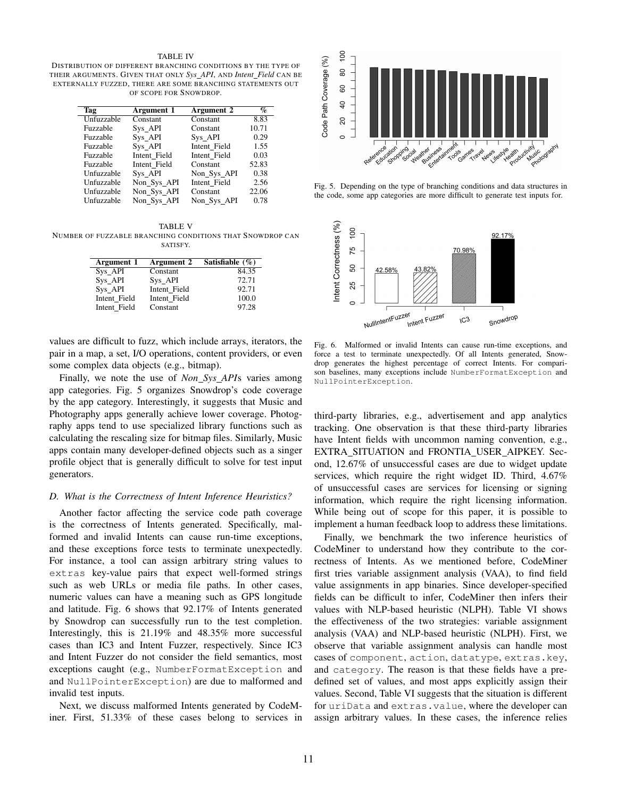#### TABLE IV

<span id="page-7-0"></span>DISTRIBUTION OF DIFFERENT BRANCHING CONDITIONS BY THE TYPE OF THEIR ARGUMENTS. GIVEN THAT ONLY *Sys API*, AND *Intent Field* CAN BE EXTERNALLY FUZZED, THERE ARE SOME BRANCHING STATEMENTS OUT OF SCOPE FOR SNOWDROP.

| Tag        | Argument 1   | Argument 2   | $\%$  |
|------------|--------------|--------------|-------|
| Unfuzzable | Constant     | Constant     | 8.83  |
| Fuzzable   | Sys API      | Constant     | 10.71 |
| Fuzzable   | Sys API      | Sys API      | 0.29  |
| Fuzzable   | Sys API      | Intent Field | 1.55  |
| Fuzzable   | Intent Field | Intent Field | 0.03  |
| Fuzzable   | Intent Field | Constant     | 52.83 |
| Unfuzzable | Sys API      | Non Sys API  | 0.38  |
| Unfuzzable | Non_Sys_API  | Intent Field | 2.56  |
| Unfuzzable | Non_Sys_API  | Constant     | 22.06 |
| Unfuzzable | Non_Sys_API  | Non Sys API  | 0.78  |

<span id="page-7-1"></span>TABLE V NUMBER OF FUZZABLE BRANCHING CONDITIONS THAT SNOWDROP CAN SATISFY.

| Argument 1   | Argument 2   | Satisfiable $(\% )$ |
|--------------|--------------|---------------------|
| Sys_API      | Constant     | 84.35               |
| Sys API      | Sys API      | 72.71               |
| Sys_API      | Intent Field | 92.71               |
| Intent Field | Intent Field | 100.0               |
| Intent Field | Constant     | 97.28               |

values are difficult to fuzz, which include arrays, iterators, the pair in a map, a set, I/O operations, content providers, or even some complex data objects (e.g., bitmap).

Finally, we note the use of *Non Sys API*s varies among app categories. Fig. [5](#page-7-2) organizes Snowdrop's code coverage by the app category. Interestingly, it suggests that Music and Photography apps generally achieve lower coverage. Photography apps tend to use specialized library functions such as calculating the rescaling size for bitmap files. Similarly, Music apps contain many developer-defined objects such as a singer profile object that is generally difficult to solve for test input generators.

## *D. What is the Correctness of Intent Inference Heuristics?*

Another factor affecting the service code path coverage is the correctness of Intents generated. Specifically, malformed and invalid Intents can cause run-time exceptions, and these exceptions force tests to terminate unexpectedly. For instance, a tool can assign arbitrary string values to extras key-value pairs that expect well-formed strings such as web URLs or media file paths. In other cases, numeric values can have a meaning such as GPS longitude and latitude. Fig. [6](#page-7-3) shows that 92.17% of Intents generated by Snowdrop can successfully run to the test completion. Interestingly, this is 21.19% and 48.35% more successful cases than IC3 and Intent Fuzzer, respectively. Since IC3 and Intent Fuzzer do not consider the field semantics, most exceptions caught (e.g., NumberFormatException and and NullPointerException) are due to malformed and invalid test inputs.

Next, we discuss malformed Intents generated by CodeMiner. First, 51.33% of these cases belong to services in



<span id="page-7-2"></span>Fig. 5. Depending on the type of branching conditions and data structures in the code, some app categories are more difficult to generate test inputs for.



<span id="page-7-3"></span>Fig. 6. Malformed or invalid Intents can cause run-time exceptions, and force a test to terminate unexpectedly. Of all Intents generated, Snowdrop generates the highest percentage of correct Intents. For comparison baselines, many exceptions include NumberFormatException and NullPointerException.

third-party libraries, e.g., advertisement and app analytics tracking. One observation is that these third-party libraries have Intent fields with uncommon naming convention, e.g., EXTRA SITUATION and FRONTIA USER AIPKEY. Second, 12.67% of unsuccessful cases are due to widget update services, which require the right widget ID. Third, 4.67% of unsuccessful cases are services for licensing or signing information, which require the right licensing information. While being out of scope for this paper, it is possible to implement a human feedback loop to address these limitations.

Finally, we benchmark the two inference heuristics of CodeMiner to understand how they contribute to the correctness of Intents. As we mentioned before, CodeMiner first tries variable assignment analysis (VAA), to find field value assignments in app binaries. Since developer-specified fields can be difficult to infer, CodeMiner then infers their values with NLP-based heuristic (NLPH). Table [VI](#page-8-0) shows the effectiveness of the two strategies: variable assignment analysis (VAA) and NLP-based heuristic (NLPH). First, we observe that variable assignment analysis can handle most cases of component, action, datatype, extras.key, and category. The reason is that these fields have a predefined set of values, and most apps explicitly assign their values. Second, Table [VI](#page-8-0) suggests that the situation is different for uriData and extras.value, where the developer can assign arbitrary values. In these cases, the inference relies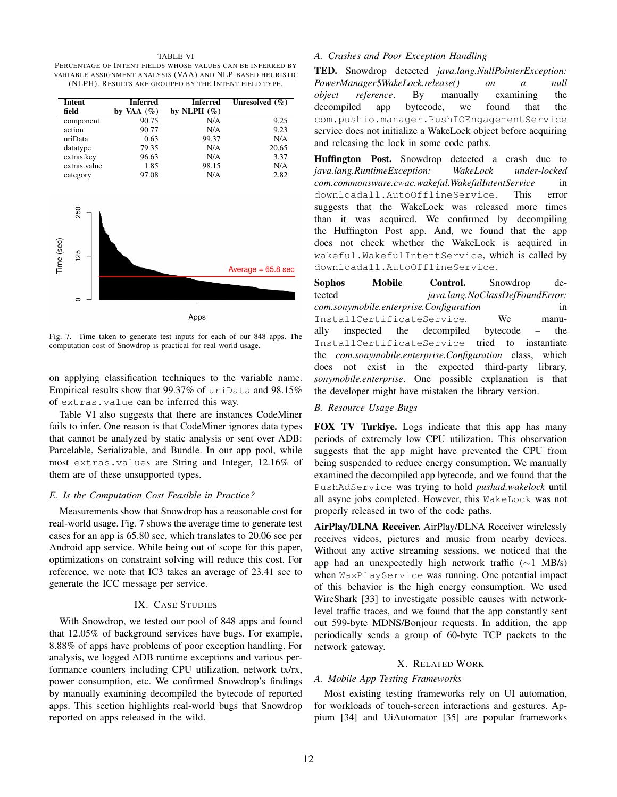#### TABLE VI

<span id="page-8-0"></span>PERCENTAGE OF INTENT FIELDS WHOSE VALUES CAN BE INFERRED BY VARIABLE ASSIGNMENT ANALYSIS (VAA) AND NLP-BASED HEURISTIC (NLPH). RESULTS ARE GROUPED BY THE INTENT FIELD TYPE.

| <b>Intent</b>     | <b>Inferred</b> | <b>Inferred</b> | Unresolved $(\%)$    |
|-------------------|-----------------|-----------------|----------------------|
| field             | by VAA $(\%)$   | by NLPH $(\%)$  |                      |
| component         | 90.75           | N/A             | 9.25                 |
| action            | 90.77           | N/A             | 9.23                 |
| uriData           | 0.63            | 99.37           | N/A                  |
| datatype          | 79.35           | N/A             | 20.65                |
| extras.key        | 96.63           | N/A             | 3.37                 |
| extras.value      | 1.85            | 98.15           | N/A                  |
| category          | 97.08           | N/A             | 2.82                 |
| 250               |                 |                 |                      |
| Time (sec)<br>125 |                 |                 |                      |
|                   |                 |                 | Average $= 65.8$ sec |
|                   |                 |                 |                      |
|                   |                 |                 |                      |
|                   |                 |                 |                      |
|                   |                 | Apps            |                      |

<span id="page-8-1"></span>Fig. 7. Time taken to generate test inputs for each of our 848 apps. The computation cost of Snowdrop is practical for real-world usage.

on applying classification techniques to the variable name. Empirical results show that 99.37% of uriData and 98.15% of extras.value can be inferred this way.

Table [VI](#page-8-0) also suggests that there are instances CodeMiner fails to infer. One reason is that CodeMiner ignores data types that cannot be analyzed by static analysis or sent over ADB: Parcelable, Serializable, and Bundle. In our app pool, while most extras.values are String and Integer, 12.16% of them are of these unsupported types.

#### *E. Is the Computation Cost Feasible in Practice?*

Measurements show that Snowdrop has a reasonable cost for real-world usage. Fig. [7](#page-8-1) shows the average time to generate test cases for an app is 65.80 sec, which translates to 20.06 sec per Android app service. While being out of scope for this paper, optimizations on constraint solving will reduce this cost. For reference, we note that IC3 takes an average of 23.41 sec to generate the ICC message per service.

#### IX. CASE STUDIES

With Snowdrop, we tested our pool of 848 apps and found that 12.05% of background services have bugs. For example, 8.88% of apps have problems of poor exception handling. For analysis, we logged ADB runtime exceptions and various performance counters including CPU utilization, network tx/rx, power consumption, etc. We confirmed Snowdrop's findings by manually examining decompiled the bytecode of reported apps. This section highlights real-world bugs that Snowdrop reported on apps released in the wild.

# *A. Crashes and Poor Exception Handling*

TED. Snowdrop detected *java.lang.NullPointerException: PowerManager*\$*WakeLock.release() on a null object reference*. By manually examining the decompiled app bytecode, we found that the com.pushio.manager.PushIOEngagementService service does not initialize a WakeLock object before acquiring and releasing the lock in some code paths.

Huffington Post. Snowdrop detected a crash due to *java.lang.RuntimeException: WakeLock under-locked com.commonsware.cwac.wakeful.WakefulIntentService* in downloadall.AutoOfflineService. This error suggests that the WakeLock was released more times than it was acquired. We confirmed by decompiling the Huffington Post app. And, we found that the app does not check whether the WakeLock is acquired in wakeful.WakefulIntentService, which is called by downloadall.AutoOfflineService.

Sophos Mobile Control. Snowdrop detected *java.lang.NoClassDefFoundError: com.sonymobile.enterprise.Configuration* in InstallCertificateService. We manually inspected the decompiled bytecode – the InstallCertificateService tried to instantiate the *com.sonymobile.enterprise.Configuration* class, which does not exist in the expected third-party library, *sonymobile.enterprise*. One possible explanation is that the developer might have mistaken the library version.

## *B. Resource Usage Bugs*

FOX TV Turkiye. Logs indicate that this app has many periods of extremely low CPU utilization. This observation suggests that the app might have prevented the CPU from being suspended to reduce energy consumption. We manually examined the decompiled app bytecode, and we found that the PushAdService was trying to hold *pushad.wakelock* until all async jobs completed. However, this WakeLock was not properly released in two of the code paths.

AirPlay/DLNA Receiver. AirPlay/DLNA Receiver wirelessly receives videos, pictures and music from nearby devices. Without any active streaming sessions, we noticed that the app had an unexpectedly high network traffic (∼1 MB/s) when WaxPlayService was running. One potential impact of this behavior is the high energy consumption. We used WireShark [\[33\]](#page-10-32) to investigate possible causes with networklevel traffic traces, and we found that the app constantly sent out 599-byte MDNS/Bonjour requests. In addition, the app periodically sends a group of 60-byte TCP packets to the network gateway.

#### X. RELATED WORK

## *A. Mobile App Testing Frameworks*

Most existing testing frameworks rely on UI automation, for workloads of touch-screen interactions and gestures. Appium [\[34\]](#page-10-33) and UiAutomator [\[35\]](#page-10-34) are popular frameworks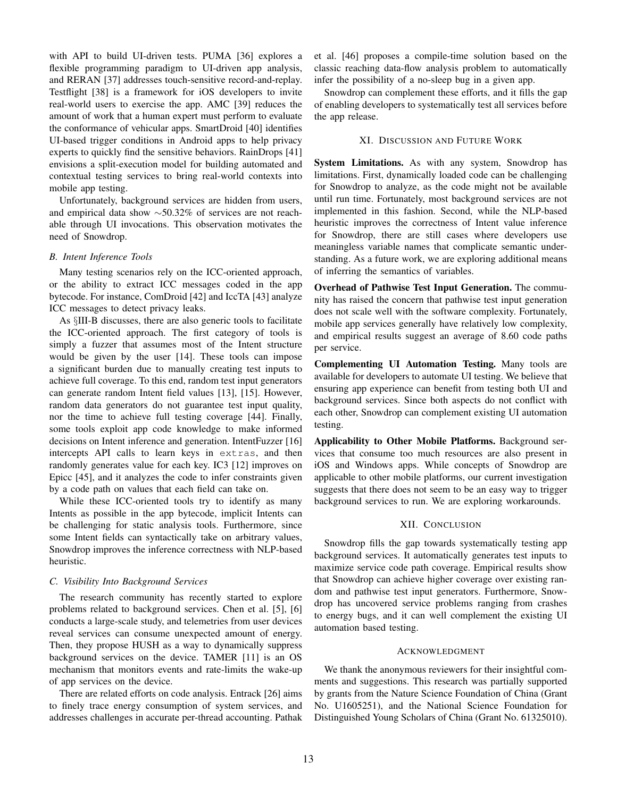with API to build UI-driven tests. PUMA [\[36\]](#page-10-35) explores a flexible programming paradigm to UI-driven app analysis, and RERAN [\[37\]](#page-10-36) addresses touch-sensitive record-and-replay. Testflight [\[38\]](#page-10-37) is a framework for iOS developers to invite real-world users to exercise the app. AMC [\[39\]](#page-10-38) reduces the amount of work that a human expert must perform to evaluate the conformance of vehicular apps. SmartDroid [\[40\]](#page-10-39) identifies UI-based trigger conditions in Android apps to help privacy experts to quickly find the sensitive behaviors. RainDrops [\[41\]](#page-10-40) envisions a split-execution model for building automated and contextual testing services to bring real-world contexts into mobile app testing.

Unfortunately, background services are hidden from users, and empirical data show ∼50.32% of services are not reachable through UI invocations. This observation motivates the need of Snowdrop.

## *B. Intent Inference Tools*

Many testing scenarios rely on the ICC-oriented approach, or the ability to extract ICC messages coded in the app bytecode. For instance, ComDroid [\[42\]](#page-10-41) and IccTA [\[43\]](#page-10-42) analyze ICC messages to detect privacy leaks.

As §[III-B](#page-2-5) discusses, there are also generic tools to facilitate the ICC-oriented approach. The first category of tools is simply a fuzzer that assumes most of the Intent structure would be given by the user [\[14\]](#page-10-13). These tools can impose a significant burden due to manually creating test inputs to achieve full coverage. To this end, random test input generators can generate random Intent field values [\[13\]](#page-10-12), [\[15\]](#page-10-14). However, random data generators do not guarantee test input quality, nor the time to achieve full testing coverage [\[44\]](#page-10-43). Finally, some tools exploit app code knowledge to make informed decisions on Intent inference and generation. IntentFuzzer [\[16\]](#page-10-15) intercepts API calls to learn keys in extras, and then randomly generates value for each key. IC3 [\[12\]](#page-10-11) improves on Epicc [\[45\]](#page-10-44), and it analyzes the code to infer constraints given by a code path on values that each field can take on.

While these ICC-oriented tools try to identify as many Intents as possible in the app bytecode, implicit Intents can be challenging for static analysis tools. Furthermore, since some Intent fields can syntactically take on arbitrary values, Snowdrop improves the inference correctness with NLP-based heuristic.

# *C. Visibility Into Background Services*

The research community has recently started to explore problems related to background services. Chen et al. [\[5\]](#page-10-4), [\[6\]](#page-10-5) conducts a large-scale study, and telemetries from user devices reveal services can consume unexpected amount of energy. Then, they propose HUSH as a way to dynamically suppress background services on the device. TAMER [\[11\]](#page-10-10) is an OS mechanism that monitors events and rate-limits the wake-up of app services on the device.

There are related efforts on code analysis. Entrack [\[26\]](#page-10-25) aims to finely trace energy consumption of system services, and addresses challenges in accurate per-thread accounting. Pathak et al. [\[46\]](#page-11-0) proposes a compile-time solution based on the classic reaching data-flow analysis problem to automatically infer the possibility of a no-sleep bug in a given app.

Snowdrop can complement these efforts, and it fills the gap of enabling developers to systematically test all services before the app release.

## XI. DISCUSSION AND FUTURE WORK

System Limitations. As with any system, Snowdrop has limitations. First, dynamically loaded code can be challenging for Snowdrop to analyze, as the code might not be available until run time. Fortunately, most background services are not implemented in this fashion. Second, while the NLP-based heuristic improves the correctness of Intent value inference for Snowdrop, there are still cases where developers use meaningless variable names that complicate semantic understanding. As a future work, we are exploring additional means of inferring the semantics of variables.

Overhead of Pathwise Test Input Generation. The community has raised the concern that pathwise test input generation does not scale well with the software complexity. Fortunately, mobile app services generally have relatively low complexity, and empirical results suggest an average of 8.60 code paths per service.

Complementing UI Automation Testing. Many tools are available for developers to automate UI testing. We believe that ensuring app experience can benefit from testing both UI and background services. Since both aspects do not conflict with each other, Snowdrop can complement existing UI automation testing.

Applicability to Other Mobile Platforms. Background services that consume too much resources are also present in iOS and Windows apps. While concepts of Snowdrop are applicable to other mobile platforms, our current investigation suggests that there does not seem to be an easy way to trigger background services to run. We are exploring workarounds.

# XII. CONCLUSION

Snowdrop fills the gap towards systematically testing app background services. It automatically generates test inputs to maximize service code path coverage. Empirical results show that Snowdrop can achieve higher coverage over existing random and pathwise test input generators. Furthermore, Snowdrop has uncovered service problems ranging from crashes to energy bugs, and it can well complement the existing UI automation based testing.

## ACKNOWLEDGMENT

We thank the anonymous reviewers for their insightful comments and suggestions. This research was partially supported by grants from the Nature Science Foundation of China (Grant No. U1605251), and the National Science Foundation for Distinguished Young Scholars of China (Grant No. 61325010).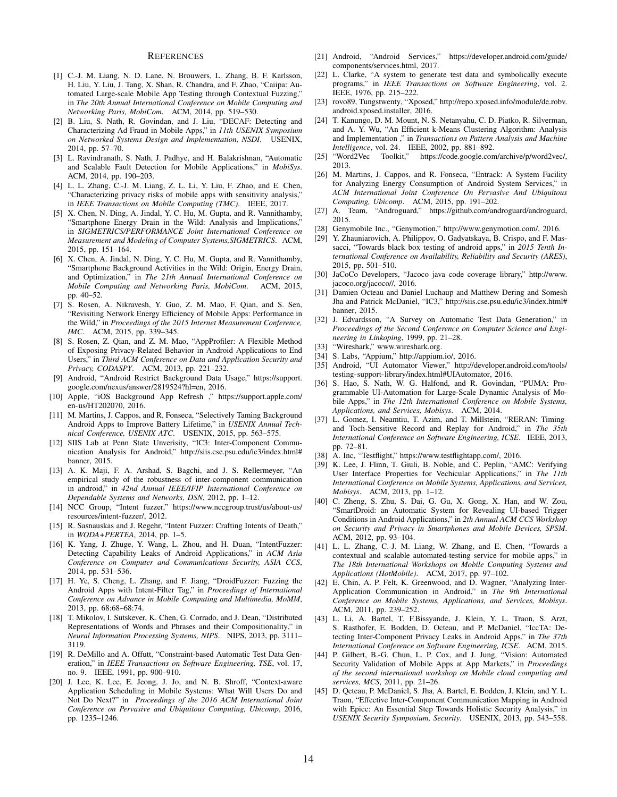#### **REFERENCES**

- <span id="page-10-0"></span>[1] C.-J. M. Liang, N. D. Lane, N. Brouwers, L. Zhang, B. F. Karlsson, H. Liu, Y. Liu, J. Tang, X. Shan, R. Chandra, and F. Zhao, "Caiipa: Automated Large-scale Mobile App Testing through Contextual Fuzzing," in *The 20th Annual International Conference on Mobile Computing and Networking Paris, MobiCom*. ACM, 2014, pp. 519–530.
- <span id="page-10-1"></span>[2] B. Liu, S. Nath, R. Govindan, and J. Liu, "DECAF: Detecting and Characterizing Ad Fraud in Mobile Apps," in *11th USENIX Symposium on Networked Systems Design and Implementation, NSDI*. USENIX, 2014, pp. 57–70.
- <span id="page-10-2"></span>[3] L. Ravindranath, S. Nath, J. Padhye, and H. Balakrishnan, "Automatic and Scalable Fault Detection for Mobile Applications," in *MobiSys*. ACM, 2014, pp. 190–203.
- <span id="page-10-3"></span>[4] L. L. Zhang, C.-J. M. Liang, Z. L. Li, Y. Liu, F. Zhao, and E. Chen, "Characterizing privacy risks of mobile apps with sensitivity analysis," in *IEEE Transactions on Mobile Computing (TMC)*. IEEE, 2017.
- <span id="page-10-4"></span>[5] X. Chen, N. Ding, A. Jindal, Y. C. Hu, M. Gupta, and R. Vannithamby, "Smartphone Energy Drain in the Wild: Analysis and Implications," in *SIGMETRICS/PERFORMANCE Joint International Conference on Measurement and Modeling of Computer Systems,SIGMETRICS*. ACM, 2015, pp. 151–164.
- <span id="page-10-5"></span>[6] X. Chen, A. Jindal, N. Ding, Y. C. Hu, M. Gupta, and R. Vannithamby, "Smartphone Background Activities in the Wild: Origin, Energy Drain, and Optimization," in *The 21th Annual International Conference on Mobile Computing and Networking Paris, MobiCom*. ACM, 2015, pp. 40–52.
- <span id="page-10-6"></span>[7] S. Rosen, A. Nikravesh, Y. Guo, Z. M. Mao, F. Qian, and S. Sen, "Revisiting Network Energy Efficiency of Mobile Apps: Performance in the Wild," in *Proceedings of the 2015 Internet Measurement Conference, IMC*. ACM, 2015, pp. 339–345.
- <span id="page-10-7"></span>[8] S. Rosen, Z. Qian, and Z. M. Mao, "AppProfiler: A Flexible Method of Exposing Privacy-Related Behavior in Android Applications to End Users," in *Third ACM Conference on Data and Application Security and Privacy, CODASPY*. ACM, 2013, pp. 221–232.
- <span id="page-10-8"></span>[9] Android, "Android Restrict Background Data Usage," [https://support.](https://support.google.com/nexus/answer/2819524?hl=en) [google.com/nexus/answer/2819524?hl=en,](https://support.google.com/nexus/answer/2819524?hl=en) 2016.
- <span id="page-10-9"></span>[10] Apple, "iOS Background App Refresh ," [https://support.apple.com/](https://support.apple.com/en-us/HT202070) [en-us/HT202070,](https://support.apple.com/en-us/HT202070) 2016.
- <span id="page-10-10"></span>[11] M. Martins, J. Cappos, and R. Fonseca, "Selectively Taming Background Android Apps to Improve Battery Lifetime," in *USENIX Annual Technical Conference, USENIX ATC*. USENIX, 2015, pp. 563–575.
- <span id="page-10-11"></span>[12] SIIS Lab at Penn State Unverisity, "IC3: Inter-Component Communication Analysis for Android," [http://siis.cse.psu.edu/ic3/index.html#](http://siis.cse.psu.edu/ic3/index.html#banner) [banner,](http://siis.cse.psu.edu/ic3/index.html#banner) 2015.
- <span id="page-10-12"></span>[13] A. K. Maji, F. A. Arshad, S. Bagchi, and J. S. Rellermeyer, "An empirical study of the robustness of inter-component communication in android," in *42nd Annual IEEE/IFIP International Conference on Dependable Systems and Networks, DSN*, 2012, pp. 1–12.
- <span id="page-10-13"></span>[14] NCC Group, "Intent fuzzer," [https://www.nccgroup.trust/us/about-us/](https://www.nccgroup.trust/us/about-us/resources/intent-fuzzer/) [resources/intent-fuzzer/,](https://www.nccgroup.trust/us/about-us/resources/intent-fuzzer/) 2012.
- <span id="page-10-14"></span>[15] R. Sasnauskas and J. Regehr, "Intent Fuzzer: Crafting Intents of Death," in *WODA+PERTEA*, 2014, pp. 1–5.
- <span id="page-10-15"></span>[16] K. Yang, J. Zhuge, Y. Wang, L. Zhou, and H. Duan, "IntentFuzzer: Detecting Capability Leaks of Android Applications," in *ACM Asia Conference on Computer and Communications Security, ASIA CCS*, 2014, pp. 531–536.
- <span id="page-10-16"></span>[17] H. Ye, S. Cheng, L. Zhang, and F. Jiang, "DroidFuzzer: Fuzzing the Android Apps with Intent-Filter Tag," in *Proceedings of International Conference on Advance in Mobile Computing and Multimedia, MoMM*, 2013, pp. 68:68–68:74.
- <span id="page-10-17"></span>[18] T. Mikolov, I. Sutskever, K. Chen, G. Corrado, and J. Dean, "Distributed Representations of Words and Phrases and their Compositionality," in *Neural Information Processing Systems, NIPS*. NIPS, 2013, pp. 3111– 3119.
- <span id="page-10-18"></span>[19] R. DeMillo and A. Offutt, "Constraint-based Automatic Test Data Generation," in *IEEE Transactions on Software Engineering, TSE*, vol. 17, no. 9. IEEE, 1991, pp. 900–910.
- <span id="page-10-19"></span>[20] J. Lee, K. Lee, E. Jeong, J. Jo, and N. B. Shroff, "Context-aware Application Scheduling in Mobile Systems: What Will Users Do and Not Do Next?" in *Proceedings of the 2016 ACM International Joint Conference on Pervasive and Ubiquitous Computing, Ubicomp*, 2016, pp. 1235–1246.
- <span id="page-10-20"></span>[21] Android, "Android Services," [https://developer.android.com/guide/](https://developer.android.com/guide/components/services.html) [components/services.html,](https://developer.android.com/guide/components/services.html) 2017.
- <span id="page-10-21"></span>[22] L. Clarke, "A system to generate test data and symbolically execute programs," in *IEEE Transactions on Software Engineering*, vol. 2. IEEE, 1976, pp. 215–222.
- <span id="page-10-22"></span>[23] rovo89, Tungstwenty, "Xposed," [http://repo.xposed.info/module/de.robv.](http://repo.xposed.info/module/de.robv.android.xposed.installer) [android.xposed.installer,](http://repo.xposed.info/module/de.robv.android.xposed.installer) 2016.
- <span id="page-10-23"></span>[24] T. Kanungo, D. M. Mount, N. S. Netanyahu, C. D. Piatko, R. Silverman, and A. Y. Wu, "An Efficient k-Means Clustering Algorithm: Analysis and Implementation ," in *Transactions on Pattern Analysis and Machine Intelligence*, vol. 24. IEEE, 2002, pp. 881–892.<br>[25] "Word2Vec Toolkit," https://code.google.com
- <span id="page-10-24"></span>[https://code.google.com/archive/p/word2vec/,](https://code.google.com/archive/p/word2vec/) 2013.
- <span id="page-10-25"></span>[26] M. Martins, J. Cappos, and R. Fonseca, "Entrack: A System Facility for Analyzing Energy Consumption of Android System Services," in *ACM International Joint Conference On Pervasive And Ubiquitous Computing, Ubicomp*. ACM, 2015, pp. 191–202.
- <span id="page-10-26"></span>[27] A. Team, "Androguard," [https://github.com/androguard/androguard,](https://github.com/androguard/androguard) 2015.
- <span id="page-10-27"></span>[28] Genymobile Inc., "Genymotion," [http://www.genymotion.com/,](http://www.genymotion.com/) 2016.
- <span id="page-10-28"></span>[29] Y. Zhauniarovich, A. Philippov, O. Gadyatskaya, B. Crispo, and F. Massacci, "Towards black box testing of android apps," in *2015 Tenth International Conference on Availability, Reliability and Security (ARES)*, 2015, pp. 501–510.
- <span id="page-10-29"></span>[30] JaCoCo Developers, "Jacoco java code coverage library," [http://www.](http://www.jacoco.org/jacoco//) [jacoco.org/jacoco//,](http://www.jacoco.org/jacoco//) 2016.
- <span id="page-10-30"></span>[31] Damien Octeau and Daniel Luchaup and Matthew Dering and Somesh Jha and Patrick McDaniel, "IC3," [http://siis.cse.psu.edu/ic3/index.html#](http://siis.cse.psu.edu/ic3/index.html#banner) [banner,](http://siis.cse.psu.edu/ic3/index.html#banner) 2015.
- <span id="page-10-31"></span>[32] J. Edvardsson, "A Survey on Automatic Test Data Generation," in *Proceedings of the Second Conference on Computer Science and Engineering in Linkoping*, 1999, pp. 21–28.
- <span id="page-10-32"></span>[33] "Wireshark," [www.wireshark.org.](www.wireshark.org)
- <span id="page-10-33"></span>[34] S. Labs, "Appium," [http://appium.io/,](http://appium.io/) 2016.
- <span id="page-10-34"></span>[35] Android, "UI Automator Viewer," [http://developer.android.com/tools/](http://developer.android.com/tools/testing-support-library/index.html#UIAutomator) [testing-support-library/index.html#UIAutomator,](http://developer.android.com/tools/testing-support-library/index.html#UIAutomator) 2016.
- <span id="page-10-35"></span>[36] S. Hao, S. Nath, W. G. Halfond, and R. Govindan, "PUMA: Programmable UI-Automation for Large-Scale Dynamic Analysis of Mobile Apps," in *The 12th International Conference on Mobile Systems, Applications, and Services, Mobisys*. ACM, 2014.
- <span id="page-10-36"></span>[37] L. Gomez, I. Neamtiu, T. Azim, and T. Millstein, "RERAN: Timingand Toch-Sensitive Record and Replay for Android," in *The 35th International Conference on Software Engineering, ICSE*. IEEE, 2013, pp. 72–81.
- <span id="page-10-37"></span>[38] A. Inc, "Testflight," [https://www.testflightapp.com/,](https://www.testflightapp.com/) 2016.
- <span id="page-10-38"></span>[39] K. Lee, J. Flinn, T. Giuli, B. Noble, and C. Peplin, "AMC: Verifying User Interface Properties for Vechicular Applications," in *The 11th International Conference on Mobile Systems, Applications, and Services, Mobisys*. ACM, 2013, pp. 1–12.
- <span id="page-10-39"></span>[40] C. Zheng, S. Zhu, S. Dai, G. Gu, X. Gong, X. Han, and W. Zou, "SmartDroid: an Automatic System for Revealing UI-based Trigger Conditions in Android Applications," in *2th Annual ACM CCS Workshop on Security and Privacy in Smartphones and Mobile Devices, SPSM*. ACM, 2012, pp. 93–104.
- <span id="page-10-40"></span>[41] L. L. Zhang, C.-J. M. Liang, W. Zhang, and E. Chen, "Towards a contextual and scalable automated-testing service for mobile apps," in *The 18th International Workshops on Mobile Computing Systems and Applications (HotMobile)*. ACM, 2017, pp. 97–102.
- <span id="page-10-41"></span>[42] E. Chin, A. P. Felt, K. Greenwood, and D. Wagner, "Analyzing Inter-Application Communication in Android," in *The 9th International Conference on Mobile Systems, Applications, and Services, Mobisys*. ACM, 2011, pp. 239–252.
- <span id="page-10-42"></span>[43] L. Li, A. Bartel, T. F.Bissyande, J. Klein, Y. L. Traon, S. Arzt, S. Rasthofer, E. Bodden, D. Octeau, and P. McDaniel, "IccTA: Detecting Inter-Component Privacy Leaks in Android Apps," in *The 37th International Conference on Software Engineering, ICSE*. ACM, 2015.
- <span id="page-10-43"></span>[44] P. Gilbert, B.-G. Chun, L. P. Cox, and J. Jung, "Vision: Automated Security Validation of Mobile Apps at App Markets," in *Proceedings of the second international workshop on Mobile cloud computing and services, MCS*, 2011, pp. 21–26.
- <span id="page-10-44"></span>[45] D. Qcteau, P. McDaniel, S. Jha, A. Bartel, E. Bodden, J. Klein, and Y. L. Traon, "Effective Inter-Component Communication Mapping in Android with Epicc: An Essential Step Towards Holistic Security Analysis," in *USENIX Security Symposium, Security*. USENIX, 2013, pp. 543–558.